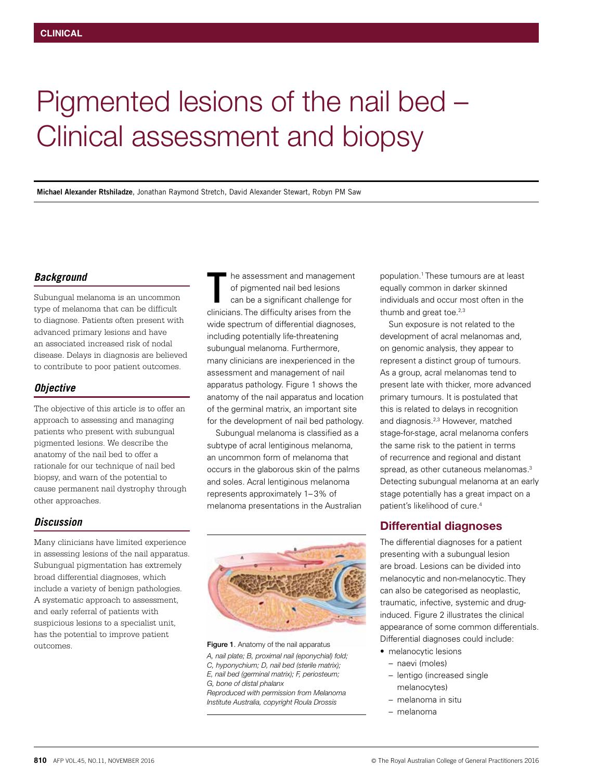# Pigmented lesions of the nail bed – Clinical assessment and biopsy

**Michael Alexander Rtshiladze**, Jonathan Raymond Stretch, David Alexander Stewart, Robyn PM Saw

### *Background*

Subungual melanoma is an uncommon type of melanoma that can be difficult to diagnose. Patients often present with advanced primary lesions and have an associated increased risk of nodal disease. Delays in diagnosis are believed to contribute to poor patient outcomes.

#### *Objective*

The objective of this article is to offer an approach to assessing and managing patients who present with subungual pigmented lesions. We describe the anatomy of the nail bed to offer a rationale for our technique of nail bed biopsy, and warn of the potential to cause permanent nail dystrophy through other approaches.

#### *Discussion*

Many clinicians have limited experience in assessing lesions of the nail apparatus. Subungual pigmentation has extremely broad differential diagnoses, which include a variety of benign pathologies. A systematic approach to assessment, and early referral of patients with suspicious lesions to a specialist unit, has the potential to improve patient outcomes.

he assessment and management of pigmented nail bed lesions can be a significant challenge for The assessment and managemen<br>
of pigmented nail bed lesions<br>
can be a significant challenge for<br>
clinicians. The difficulty arises from the wide spectrum of differential diagnoses, including potentially life-threatening subungual melanoma. Furthermore, many clinicians are inexperienced in the assessment and management of nail apparatus pathology. Figure 1 shows the anatomy of the nail apparatus and location of the germinal matrix, an important site for the development of nail bed pathology.

Subungual melanoma is classified as a subtype of acral lentiginous melanoma, an uncommon form of melanoma that occurs in the glaborous skin of the palms and soles. Acral lentiginous melanoma represents approximately 1–3% of melanoma presentations in the Australian



Figure 1. Anatomy of the nail apparatus *A, nail plate; B, proximal nail (eponychial) fold; C, hyponychium; D, nail bed (sterile matrix); E, nail bed (germinal matrix); F, periosteum; G, bone of distal phalanx Reproduced with permission from Melanoma Institute Australia, copyright Roula Drossis*

population.1 These tumours are at least equally common in darker skinned individuals and occur most often in the thumb and great toe.<sup>2,3</sup>

Sun exposure is not related to the development of acral melanomas and, on genomic analysis, they appear to represent a distinct group of tumours. As a group, acral melanomas tend to present late with thicker, more advanced primary tumours. It is postulated that this is related to delays in recognition and diagnosis.2,3 However, matched stage-for-stage, acral melanoma confers the same risk to the patient in terms of recurrence and regional and distant spread, as other cutaneous melanomas.<sup>3</sup> Detecting subungual melanoma at an early stage potentially has a great impact on a patient's likelihood of cure.4

## Differential diagnoses

The differential diagnoses for a patient presenting with a subungual lesion are broad. Lesions can be divided into melanocytic and non-melanocytic. They can also be categorised as neoplastic, traumatic, infective, systemic and druginduced. Figure 2 illustrates the clinical appearance of some common differentials. Differential diagnoses could include:

- melanocytic lesions
	- naevi (moles)
	- lentigo (increased single melanocytes)
	- melanoma in situ
- melanoma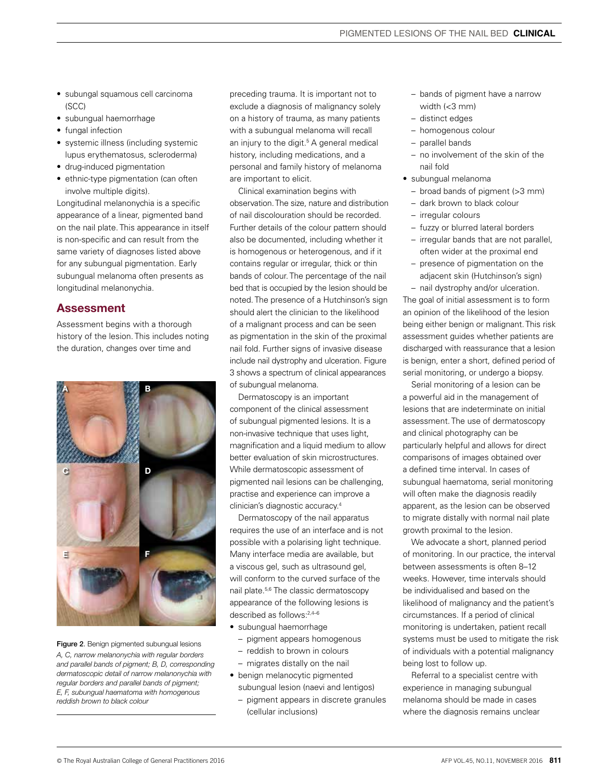- subungal squamous cell carcinoma (SCC)
- subungual haemorrhage
- fungal infection
- systemic illness (including systemic lupus erythematosus, scleroderma)
- drug-induced pigmentation
- ethnic-type pigmentation (can often involve multiple digits).

Longitudinal melanonychia is a specific appearance of a linear, pigmented band on the nail plate. This appearance in itself is non-specific and can result from the same variety of diagnoses listed above for any subungual pigmentation. Early subungual melanoma often presents as longitudinal melanonychia.

## Assessment

Assessment begins with a thorough history of the lesion. This includes noting the duration, changes over time and



Figure 2. Benign pigmented subungual lesions *A, C, narrow melanonychia with regular borders and parallel bands of pigment; B, D, corresponding dermatoscopic detail of narrow melanonychia with regular borders and parallel bands of pigment; E, F, subungual haematoma with homogenous reddish brown to black colour*

preceding trauma. It is important not to exclude a diagnosis of malignancy solely on a history of trauma, as many patients with a subungual melanoma will recall an injury to the digit.<sup>5</sup> A general medical history, including medications, and a personal and family history of melanoma are important to elicit.

Clinical examination begins with observation. The size, nature and distribution of nail discolouration should be recorded. Further details of the colour pattern should also be documented, including whether it is homogenous or heterogenous, and if it contains regular or irregular, thick or thin bands of colour. The percentage of the nail bed that is occupied by the lesion should be noted. The presence of a Hutchinson's sign should alert the clinician to the likelihood of a malignant process and can be seen as pigmentation in the skin of the proximal nail fold. Further signs of invasive disease include nail dystrophy and ulceration. Figure 3 shows a spectrum of clinical appearances of subungual melanoma.

Dermatoscopy is an important component of the clinical assessment of subungual pigmented lesions. It is a non-invasive technique that uses light, magnification and a liquid medium to allow better evaluation of skin microstructures. While dermatoscopic assessment of pigmented nail lesions can be challenging, practise and experience can improve a clinician's diagnostic accuracy.4

Dermatoscopy of the nail apparatus requires the use of an interface and is not possible with a polarising light technique. Many interface media are available, but a viscous gel, such as ultrasound gel, will conform to the curved surface of the nail plate.5,6 The classic dermatoscopy appearance of the following lesions is described as follows:2,4–6

- subungual haemorrhage
	- pigment appears homogenous
- reddish to brown in colours
- migrates distally on the nail
- benign melanocytic pigmented subungual lesion (naevi and lentigos)
	- pigment appears in discrete granules (cellular inclusions)
- bands of pigment have a narrow width (<3 mm)
- distinct edges
- homogenous colour
- parallel bands
- no involvement of the skin of the nail fold
- subungual melanoma
	- broad bands of pigment (>3 mm)
	- dark brown to black colour
	- irregular colours
	- fuzzy or blurred lateral borders
	- irregular bands that are not parallel, often wider at the proximal end
	- presence of pigmentation on the adjacent skin (Hutchinson's sign)

– nail dystrophy and/or ulceration. The goal of initial assessment is to form

an opinion of the likelihood of the lesion being either benign or malignant. This risk assessment guides whether patients are discharged with reassurance that a lesion is benign, enter a short, defined period of serial monitoring, or undergo a biopsy.

Serial monitoring of a lesion can be a powerful aid in the management of lesions that are indeterminate on initial assessment. The use of dermatoscopy and clinical photography can be particularly helpful and allows for direct comparisons of images obtained over a defined time interval. In cases of subungual haematoma, serial monitoring will often make the diagnosis readily apparent, as the lesion can be observed to migrate distally with normal nail plate growth proximal to the lesion.

We advocate a short, planned period of monitoring. In our practice, the interval between assessments is often 8–12 weeks. However, time intervals should be individualised and based on the likelihood of malignancy and the patient's circumstances. If a period of clinical monitoring is undertaken, patient recall systems must be used to mitigate the risk of individuals with a potential malignancy being lost to follow up.

Referral to a specialist centre with experience in managing subungual melanoma should be made in cases where the diagnosis remains unclear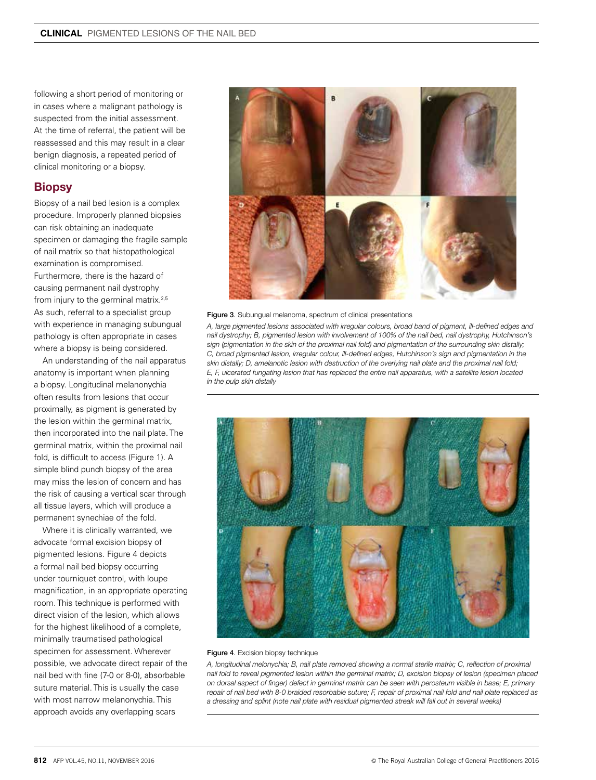following a short period of monitoring or in cases where a malignant pathology is suspected from the initial assessment. At the time of referral, the patient will be reassessed and this may result in a clear benign diagnosis, a repeated period of clinical monitoring or a biopsy.

## **Biopsy**

Biopsy of a nail bed lesion is a complex procedure. Improperly planned biopsies can risk obtaining an inadequate specimen or damaging the fragile sample of nail matrix so that histopathological examination is compromised. Furthermore, there is the hazard of causing permanent nail dystrophy from injury to the germinal matrix.<sup>2,5</sup> As such, referral to a specialist group with experience in managing subungual pathology is often appropriate in cases where a biopsy is being considered.

An understanding of the nail apparatus anatomy is important when planning a biopsy. Longitudinal melanonychia often results from lesions that occur proximally, as pigment is generated by the lesion within the germinal matrix, then incorporated into the nail plate. The germinal matrix, within the proximal nail fold, is difficult to access (Figure 1). A simple blind punch biopsy of the area may miss the lesion of concern and has the risk of causing a vertical scar through all tissue layers, which will produce a permanent synechiae of the fold.

Where it is clinically warranted, we advocate formal excision biopsy of pigmented lesions. Figure 4 depicts a formal nail bed biopsy occurring under tourniquet control, with loupe magnification, in an appropriate operating room. This technique is performed with direct vision of the lesion, which allows for the highest likelihood of a complete, minimally traumatised pathological specimen for assessment. Wherever possible, we advocate direct repair of the nail bed with fine (7-0 or 8-0), absorbable suture material. This is usually the case with most narrow melanonychia. This approach avoids any overlapping scars





*A, large pigmented lesions associated with irregular colours, broad band of pigment, ill-defined edges and nail dystrophy; B, pigmented lesion with involvement of 100% of the nail bed, nail dystrophy, Hutchinson's sign (pigmentation in the skin of the proximal nail fold) and pigmentation of the surrounding skin distally; C, broad pigmented lesion, irregular colour, ill-defined edges, Hutchinson's sign and pigmentation in the skin distally; D, amelanotic lesion with destruction of the overlying nail plate and the proximal nail fold; E, F, ulcerated fungating lesion that has replaced the entre nail apparatus, with a satellite lesion located in the pulp skin distally*



#### Figure 4. Excision biopsy technique

*A, longitudinal melonychia; B, nail plate removed showing a normal sterile matrix; C, reflection of proximal nail fold to reveal pigmented lesion within the germinal matrix; D, excision biopsy of lesion (specimen placed on dorsal aspect of finger) defect in germinal matrix can be seen with perosteum visible in base; E, primary repair of nail bed with 8-0 braided resorbable suture; F, repair of proximal nail fold and nail plate replaced as a dressing and splint (note nail plate with residual pigmented streak will fall out in several weeks)*